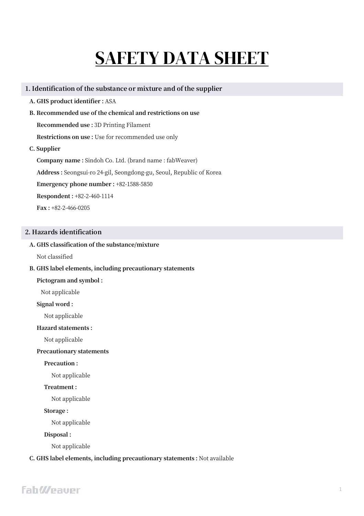# SAFETY DATA SHEET

# **1. Identification of the substance or mixture and of the supplier**

- **A. GHS product identifier :** ASA
- **B. Recommended use of the chemical and restrictions on use**

**Recommended use :** 3D Printing Filament

**Restrictions on use :** Use for recommended use only

**C. Supplier**

**Company name :** Sindoh Co. Ltd. (brand name : fabWeaver) **Address :** Seongsui-ro 24-gil, Seongdong-gu, Seoul, Republic of Korea **Emergency phone number :** +82-1588-5850 **Respondent :** +82-2-460-1114 **Fax :** +82-2-466-0205

# **2. Hazards identification**

# **A. GHS classification of the substance/mixture**

Not classified

# **B. GHS label elements, including precautionary statements**

#### **Pictogram and symbol :**

Not applicable

#### **Signal word :**

Not applicable

#### **Hazard statements :**

Not applicable

# **Precautionary statements**

**Precaution :** 

Not applicable

# **Treatment :**

Not applicable

**Storage :** 

Not applicable

**Disposal :** 

Not applicable

# **C. GHS label elements, including precautionary statements :** Not available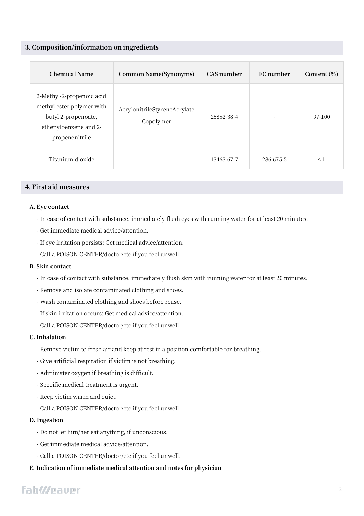# **3. Composition/information on ingredients**

| <b>Chemical Name</b>                                                                                                     | Common Name(Synonyms)                     | CAS number | EC number | Content $(\% )$ |
|--------------------------------------------------------------------------------------------------------------------------|-------------------------------------------|------------|-----------|-----------------|
| 2-Methyl-2-propenoic acid<br>methyl ester polymer with<br>butyl 2-propenoate,<br>ethenylbenzene and 2-<br>propenenitrile | AcrylonitrileStyreneAcrylate<br>Copolymer | 25852-38-4 |           | 97-100          |
| Titanium dioxide                                                                                                         |                                           | 13463-67-7 | 236-675-5 | $\leq 1$        |

# **4. First aid measures**

#### **A. Eye contact**

- In case of contact with substance, immediately flush eyes with running water for at least 20 minutes.
- Get immediate medical advice/attention.
- If eye irritation persists: Get medical advice/attention.
- Call a POISON CENTER/doctor/etc if you feel unwell.

## **B. Skin contact**

- In case of contact with substance, immediately flush skin with running water for at least 20 minutes.
- Remove and isolate contaminated clothing and shoes.
- Wash contaminated clothing and shoes before reuse.
- If skin irritation occurs: Get medical advice/attention.
- Call a POISON CENTER/doctor/etc if you feel unwell.

#### **C. Inhalation**

- Remove victim to fresh air and keep at rest in a position comfortable for breathing.
- Give artificial respiration if victim is not breathing.
- Administer oxygen if breathing is difficult.
- Specific medical treatment is urgent.
- Keep victim warm and quiet.
- Call a POISON CENTER/doctor/etc if you feel unwell.

#### **D. Ingestion**

- Do not let him/her eat anything, if unconscious.
- Get immediate medical advice/attention.
- Call a POISON CENTER/doctor/etc if you feel unwell.

# **E. Indication of immediate medical attention and notes for physician**

# **FahWeauer**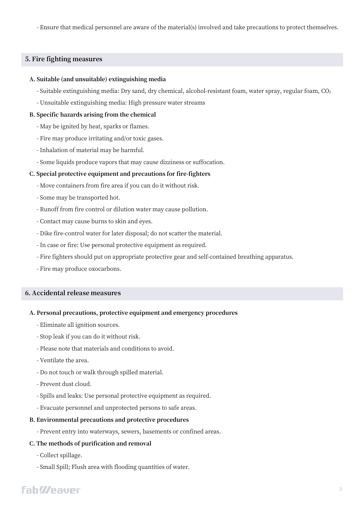- Ensure that medical personnel are aware of the material(s) involved and take precautions to protect themselves.

# **5. Fire fighting measures**

#### **A. Suitable (and unsuitable) extinguishing media**

- Suitable extinguishing media: Dry sand, dry chemical, alcohol-resistant foam, water spray, regular foam, CO<sup>2</sup>
- Unsuitable extinguishing media: High pressure water streams

#### **B. Specific hazards arising from the chemical**

- May be ignited by heat, sparks or flames.
- Fire may produce irritating and/or toxic gases.
- Inhalation of material may be harmful.
- Some liquids produce vapors that may cause dizziness or suffocation.

#### **C. Special protective equipment and precautions for fire-fighters**

- Move containers from fire area if you can do it without risk.
- Some may be transported hot.
- Runoff from fire control or dilution water may cause pollution.
- Contact may cause burns to skin and eyes.
- Dike fire-control water for later disposal; do not scatter the material.
- In case or fire: Use personal protective equipment as required.
- Fire fighters should put on appropriate protective gear and self-contained breathing apparatus.
- Fire may produce oxocarbons.

# **6. Accidental release measures**

#### **A. Personal precautions, protective equipment and emergency procedures**

- Eliminate all ignition sources.
- Stop leak if you can do it without risk.
- Please note that materials and conditions to avoid.
- Ventilate the area.
- Do not touch or walk through spilled material.
- Prevent dust cloud.
- Spills and leaks: Use personal protective equipment as required.
- Evacuate personnel and unprotected persons to safe areas.

#### **B. Environmental precautions and protective procedures**

- Prevent entry into waterways, sewers, basements or confined areas.

# **C. The methods of purification and removal**

- Collect spillage.
- Small Spill; Flush area with flooding quantities of water.

# **FahWeauer**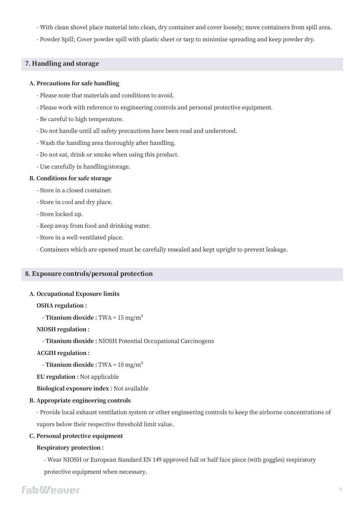- With clean shovel place material into clean, dry container and cover loosely; move containers from spill area.
- Powder Spill; Cover powder spill with plastic sheet or tarp to minimize spreading and keep powder dry.

# **7. Handling and storage**

#### **A. Precautions for safe handling**

- Please note that materials and conditions to avoid.
- Please work with reference to engineering controls and personal protective equipment.
- Be careful to high temperature.
- Do not handle until all safety precautions have been read and understood.
- Wash the handling area thoroughly after handling.
- Do not eat, drink or smoke when using this product.
- Use carefully in handling/storage.

#### **B. Conditions for safe storage**

- Store in a closed container.
- Store in cool and dry place.
- Store locked up.
- Keep away from food and drinking water.
- Store in a well-ventilated place.
- Containers which are opened must be carefully resealed and kept upright to prevent leakage.

# **8. Exposure controls/personal protection**

#### **A. Occupational Exposure limits**

#### **OSHA regulation :**

**- Titanium dioxide :** TWA = 15 mg/m³

#### **NIOSH regulation :**

**- Titanium dioxide :** NIOSH Potential Occupational Carcinogens

**ACGIH regulation :** 

**- Titanium dioxide :** TWA = 10 mg/m³

**EU regulation :** Not applicable

**Biological exposure index :** Not available

#### **B. Appropriate engineering controls**

- Provide local exhaust ventilation system or other engineering controls to keep the airborne concentrations of vapors below their respective threshold limit value.

#### **C. Personal protective equipment**

#### **Respiratory protection :**

- Wear NIOSH or European Standard EN 149 approved full or half face piece (with goggles) respiratory protective equipment when necessary.

# **FahWeaver**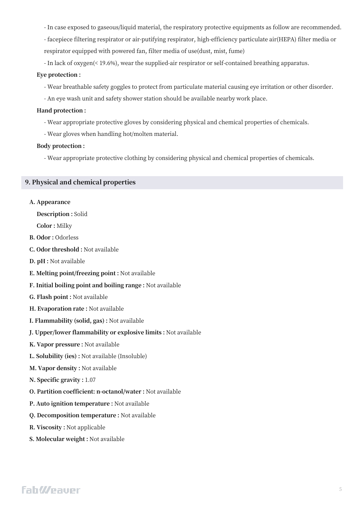- In case exposed to gaseous/liquid material, the respiratory protective equipments as follow are recommended.

- facepiece filtering respirator or air-putifying respirator, high-efficiency particulate air(HEPA) filter media or respirator equipped with powered fan, filter media of use(dust, mist, fume)

- In lack of oxygen(< 19.6%), wear the supplied-air respirator or self-contained breathing apparatus.

#### **Eye protection :**

- Wear breathable safety goggles to protect from particulate material causing eye irritation or other disorder.

- An eye wash unit and safety shower station should be available nearby work place.

# **Hand protection :**

- Wear appropriate protective gloves by considering physical and chemical properties of chemicals.

- Wear gloves when handling hot/molten material.

#### **Body protection :**

- Wear appropriate protective clothing by considering physical and chemical properties of chemicals.

### **9. Physical and chemical properties**

#### **A. Appearance**

**Description :** Solid

**Color :** Milky

- **B. Odor :** Odorless
- **C. Odor threshold :** Not available
- **D. pH :** Not available
- **E. Melting point/freezing point :** Not available
- **F. Initial boiling point and boiling range :** Not available
- **G. Flash point :** Not available
- **H. Evaporation rate :** Not available
- **I. Flammability (solid, gas) :** Not available
- **J. Upper/lower flammability or explosive limits :** Not available
- **K. Vapor pressure :** Not available
- **L. Solubility (ies) :** Not available (Insoluble)
- **M. Vapor density :** Not available
- **N. Specific gravity :** 1.07
- **O. Partition coefficient: n-octanol/water :** Not available
- **P. Auto ignition temperature :** Not available
- **Q. Decomposition temperature :** Not available
- **R. Viscosity :** Not applicable
- **S. Molecular weight :** Not available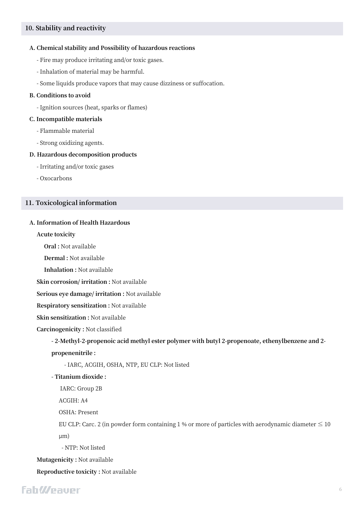# **10. Stability and reactivity**

#### **A. Chemical stability and Possibility of hazardous reactions**

- Fire may produce irritating and/or toxic gases.
- Inhalation of material may be harmful.
- Some liquids produce vapors that may cause dizziness or suffocation.

#### **B. Conditions to avoid**

- Ignition sources (heat, sparks or flames)

#### **C. Incompatible materials**

- Flammable material
- Strong oxidizing agents.

#### **D. Hazardous decomposition products**

- Irritating and/or toxic gases
- Oxocarbons

#### **11. Toxicological information**

# **A. Information of Health Hazardous**

**Acute toxicity**

**Oral :** Not available

**Dermal :** Not available

**Inhalation :** Not available

**Skin corrosion/ irritation :** Not available

**Serious eye damage/ irritation :** Not available

**Respiratory sensitization :** Not available

**Skin sensitization :** Not available

**Carcinogenicity :** Not classified

### **- 2-Methyl-2-propenoic acid methyl ester polymer with butyl 2-propenoate, ethenylbenzene and 2-**

**propenenitrile :** 

- IARC, ACGIH, OSHA, NTP, EU CLP: Not listed

**- Titanium dioxide :**

IARC: Group 2B

ACGIH: A4

OSHA: Present

EU CLP: Carc. 2 (in powder form containing 1 % or more of particles with aerodynamic diameter  $\leq 10$ μm)

- NTP: Not listed

**Mutagenicity :** Not available

**Reproductive toxicity :** Not available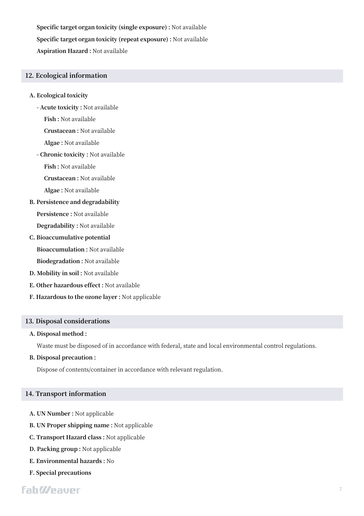**Specific target organ toxicity (single exposure) :** Not available **Specific target organ toxicity (repeat exposure) :** Not available **Aspiration Hazard :** Not available

# **12. Ecological information**

- **A. Ecological toxicity** 
	- **- Acute toxicity :** Not available

**Fish :** Not available

**Crustacean :** Not available

**Algae :** Not available

**- Chronic toxicity :** Not available

**Fish :** Not available

**Crustacean :** Not available

**Algae :** Not available

**B. Persistence and degradability**

**Persistence :** Not available

**Degradability :** Not available

**C. Bioaccumulative potential**

**Bioaccumulation :** Not available

**Biodegradation :** Not available

- **D. Mobility in soil :** Not available
- **E. Other hazardous effect :** Not available
- **F. Hazardous to the ozone layer :** Not applicable

# **13. Disposal considerations**

#### **A. Disposal method :**

Waste must be disposed of in accordance with federal, state and local environmental control regulations.

**B. Disposal precaution :** 

Dispose of contents/container in accordance with relevant regulation.

#### **14. Transport information**

- **A. UN Number :** Not applicable
- **B. UN Proper shipping name :** Not applicable
- **C. Transport Hazard class :** Not applicable
- **D. Packing group :** Not applicable
- **E. Environmental hazards :** No
- **F. Special precautions**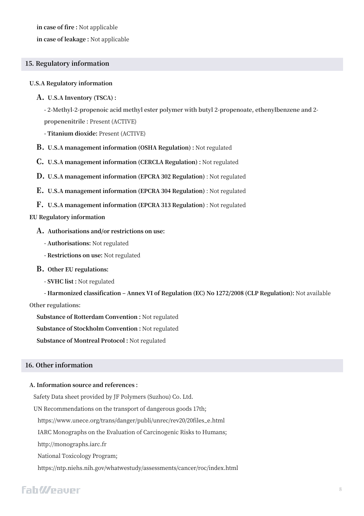**in case of fire :** Not applicable

**in case of leakage :** Not applicable

# **15. Regulatory information**

#### **U.S.A Regulatory information**

#### **A. U.S.A Inventory (TSCA) :**

**- 2-Methyl-2-propenoic acid methyl ester polymer with butyl 2-propenoate, ethenylbenzene and 2 propenenitrile :** Present (ACTIVE)

**- Titanium dioxide:** Present (ACTIVE)

- **B. U.S.A management information (OSHA Regulation) :** Not regulated
- **C. U.S.A management information (CERCLA Regulation) :** Not regulated
- **D. U.S.A management information (EPCRA 302 Regulation)** : Not regulated
- **E. U.S.A management information (EPCRA 304 Regulation)** : Not regulated
- **F. U.S.A management information (EPCRA 313 Regulation)** : Not regulated

# **EU Regulatory information**

- **A. Authorisations and/or restrictions on use:**
	- **- Authorisations:** Not regulated
	- **- Restrictions on use:** Not regulated
- **B. Other EU regulations:**
	- **- SVHC list :** Not regulated

**- Harmonized classification ‒ Annex VI of Regulation (EC) No 1272/2008 (CLP Regulation):** Not available

#### **Other regulations:**

**Substance of Rotterdam Convention :** Not regulated **Substance of Stockholm Convention :** Not regulated **Substance of Montreal Protocol :** Not regulated

# **16. Other information**

#### **A. Information source and references :**

Safety Data sheet provided by JF Polymers (Suzhou) Co. Ltd.

UN Recommendations on the transport of dangerous goods 17th;

https://www.unece.org/trans/danger/publi/unrec/rev20/20files\_e.html

IARC Monographs on the Evaluation of Carcinogenic Risks to Humans;

http://monographs.iarc.fr

National Toxicology Program;

https://ntp.niehs.nih.gov/whatwestudy/assessments/cancer/roc/index.html

# **FahWeaver**